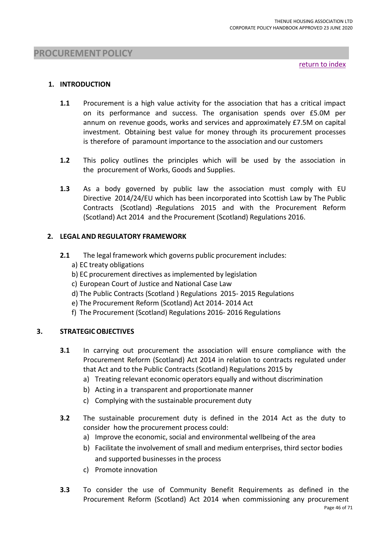return to index

### **1. INTRODUCTION**

- **1.1** Procurement is a high value activity for the association that has a critical impact on its performance and success. The organisation spends over £5.0M per annum on revenue goods, works and services and approximately £7.5M on capital investment. Obtaining best value for money through its procurement processes is therefore of paramount importance to the association and our customers
- **1.2** This policy outlines the principles which will be used by the association in the procurement of Works, Goods and Supplies.
- **1.3** As a body governed by public law the association must comply with EU Directive 2014/24/EU which has been incorporated into Scottish Law by The Public Contracts (Scotland) -Regulations 2015 and with the Procurement Reform (Scotland) Act 2014 and the Procurement (Scotland) Regulations 2016.

### **2. LEGAL AND REGULATORY FRAMEWORK**

- **2.1** The legal framework which governs public procurement includes:
	- a) EC treaty obligations
	- b) EC procurement directives as implemented by legislation
	- c) European Court of Justice and National Case Law
	- d) The Public Contracts (Scotland ) Regulations 2015- 2015 Regulations
	- e) The Procurement Reform (Scotland) Act 2014- 2014 Act
	- f) The Procurement (Scotland) Regulations 2016- 2016 Regulations

### **3. STRATEGICOBJECTIVES**

- **3.1** In carrying out procurement the association will ensure compliance with the Procurement Reform (Scotland) Act 2014 in relation to contracts regulated under that Act and to the Public Contracts (Scotland) Regulations 2015 by
	- a) Treating relevant economic operators equally and without discrimination
	- b) Acting in a transparent and proportionate manner
	- c) Complying with the sustainable procurement duty
- **3.2** The sustainable procurement duty is defined in the 2014 Act as the duty to consider how the procurement process could:
	- a) Improve the economic, social and environmental wellbeing of the area
	- b) Facilitate the involvement of small and medium enterprises, third sector bodies and supported businesses in the process
	- c) Promote innovation
- **3.3** To consider the use of Community Benefit Requirements as defined in the Procurement Reform (Scotland) Act 2014 when commissioning any procurement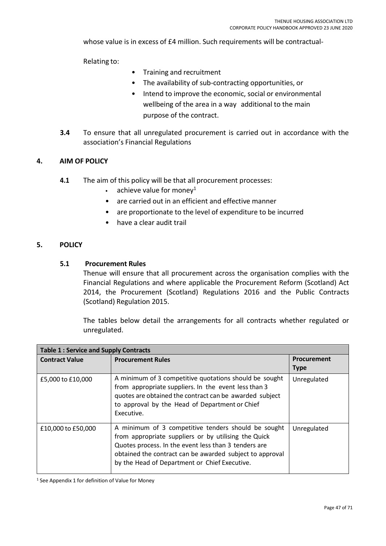whose value is in excess of £4 million. Such requirements will be contractual-

Relating to:

- Training and recruitment
- The availability of sub-contracting opportunities, or
- Intend to improve the economic, social or environmental wellbeing of the area in a way additional to the main purpose of the contract.
- **3.4** To ensure that all unregulated procurement is carried out in accordance with the association's Financial Regulations

### **4. AIM OF POLICY**

- **4.1** The aim of this policy will be that all procurement processes:
	- achieve value for monev $1$
	- are carried out in an efficient and effective manner
	- are proportionate to the level of expenditure to be incurred
	- have a clear audit trail

### **5. POLICY**

#### **5.1 Procurement Rules**

Thenue will ensure that all procurement across the organisation complies with the Financial Regulations and where applicable the Procurement Reform (Scotland) Act 2014, the Procurement (Scotland) Regulations 2016 and the Public Contracts (Scotland) Regulation 2015.

The tables below detail the arrangements for all contracts whether regulated or unregulated.

| <b>Table 1: Service and Supply Contracts</b> |                                                                                                                                                                                                                                                                                  |                                   |  |  |
|----------------------------------------------|----------------------------------------------------------------------------------------------------------------------------------------------------------------------------------------------------------------------------------------------------------------------------------|-----------------------------------|--|--|
| <b>Contract Value</b>                        | <b>Procurement Rules</b>                                                                                                                                                                                                                                                         | <b>Procurement</b><br><b>Type</b> |  |  |
| £5,000 to £10,000                            | A minimum of 3 competitive quotations should be sought<br>from appropriate suppliers. In the event less than 3<br>quotes are obtained the contract can be awarded subject<br>to approval by the Head of Department or Chief<br>Executive.                                        | Unregulated                       |  |  |
| £10,000 to £50,000                           | A minimum of 3 competitive tenders should be sought<br>from appropriate suppliers or by utilising the Quick<br>Quotes process. In the event less than 3 tenders are<br>obtained the contract can be awarded subject to approval<br>by the Head of Department or Chief Executive. | Unregulated                       |  |  |

<sup>1</sup> See Appendix 1 for definition of Value for Money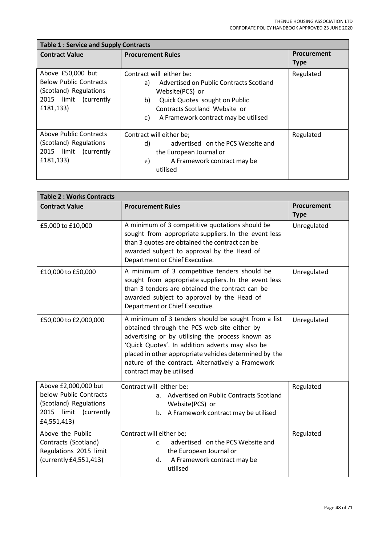| <b>Table 1: Service and Supply Contracts</b>                                                                       |                                                                                                                                                                                                                    |                            |  |  |
|--------------------------------------------------------------------------------------------------------------------|--------------------------------------------------------------------------------------------------------------------------------------------------------------------------------------------------------------------|----------------------------|--|--|
| <b>Contract Value</b>                                                                                              | <b>Procurement Rules</b>                                                                                                                                                                                           | Procurement<br><b>Type</b> |  |  |
| Above £50,000 but<br><b>Below Public Contracts</b><br>(Scotland) Regulations<br>2015 limit (currently<br>£181,133) | Contract will either be:<br>Advertised on Public Contracts Scotland<br>a)<br>Website(PCS) or<br>b)<br>Quick Quotes sought on Public<br>Contracts Scotland Website or<br>A Framework contract may be utilised<br>c) | Regulated                  |  |  |
| Above Public Contracts<br>(Scotland) Regulations<br>2015 limit (currently<br>£181,133)                             | Contract will either be;<br>advertised on the PCS Website and<br>d)<br>the European Journal or<br>A Framework contract may be<br>e)<br>utilised                                                                    | Regulated                  |  |  |

| <b>Table 2: Works Contracts</b>                                                                                  |                                                                                                                                                                                                                                                                                                                                                      |                            |  |  |
|------------------------------------------------------------------------------------------------------------------|------------------------------------------------------------------------------------------------------------------------------------------------------------------------------------------------------------------------------------------------------------------------------------------------------------------------------------------------------|----------------------------|--|--|
| <b>Contract Value</b>                                                                                            | <b>Procurement Rules</b>                                                                                                                                                                                                                                                                                                                             | Procurement<br><b>Type</b> |  |  |
| £5,000 to £10,000                                                                                                | A minimum of 3 competitive quotations should be<br>sought from appropriate suppliers. In the event less<br>than 3 quotes are obtained the contract can be<br>awarded subject to approval by the Head of<br>Department or Chief Executive.                                                                                                            | Unregulated                |  |  |
| £10,000 to £50,000                                                                                               | A minimum of 3 competitive tenders should be<br>sought from appropriate suppliers. In the event less<br>than 3 tenders are obtained the contract can be<br>awarded subject to approval by the Head of<br>Department or Chief Executive.                                                                                                              | Unregulated                |  |  |
| £50,000 to £2,000,000                                                                                            | A minimum of 3 tenders should be sought from a list<br>obtained through the PCS web site either by<br>advertising or by utilising the process known as<br>'Quick Quotes'. In addition adverts may also be<br>placed in other appropriate vehicles determined by the<br>nature of the contract. Alternatively a Framework<br>contract may be utilised | Unregulated                |  |  |
| Above £2,000,000 but<br>below Public Contracts<br>(Scotland) Regulations<br>2015 limit (currently<br>£4,551,413) | Contract will either be:<br>a. Advertised on Public Contracts Scotland<br>Website(PCS) or<br>b. A Framework contract may be utilised                                                                                                                                                                                                                 | Regulated                  |  |  |
| Above the Public<br>Contracts (Scotland)<br>Regulations 2015 limit<br>(currently £4,551,413)                     | Contract will either be;<br>advertised on the PCS Website and<br>$\mathsf{C}$ .<br>the European Journal or<br>A Framework contract may be<br>d.<br>utilised                                                                                                                                                                                          | Regulated                  |  |  |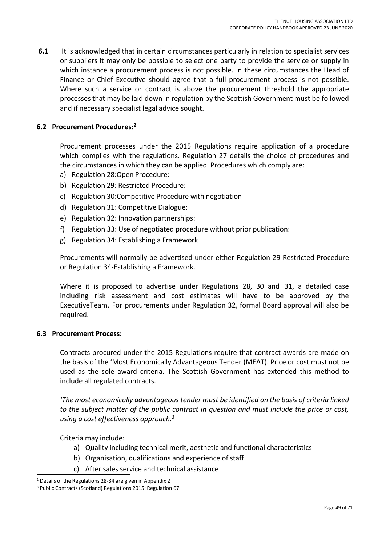**6.1** It is acknowledged that in certain circumstances particularly in relation to specialist services or suppliers it may only be possible to select one party to provide the service or supply in which instance a procurement process is not possible. In these circumstances the Head of Finance or Chief Executive should agree that a full procurement process is not possible. Where such a service or contract is above the procurement threshold the appropriate processes that may be laid down in regulation by the Scottish Government must be followed and if necessary specialist legal advice sought.

### **6.2 Procurement Procedures:<sup>2</sup>**

Procurement processes under the 2015 Regulations require application of a procedure which complies with the regulations. Regulation 27 details the choice of procedures and the circumstances in which they can be applied. Procedures which comply are:

- a) Regulation 28:Open Procedure:
- b) Regulation 29: Restricted Procedure:
- c) Regulation 30:Competitive Procedure with negotiation
- d) Regulation 31: Competitive Dialogue:
- e) Regulation 32: Innovation partnerships:
- f) Regulation 33: Use of negotiated procedure without prior publication:
- g) Regulation 34: Establishing a Framework

Procurements will normally be advertised under either Regulation 29-Restricted Procedure or Regulation 34-Establishing a Framework.

Where it is proposed to advertise under Regulations 28, 30 and 31, a detailed case including risk assessment and cost estimates will have to be approved by the ExecutiveTeam. For procurements under Regulation 32, formal Board approval will also be required.

#### **6.3 Procurement Process:**

Contracts procured under the 2015 Regulations require that contract awards are made on the basis of the 'Most Economically Advantageous Tender (MEAT). Price or cost must not be used as the sole award criteria. The Scottish Government has extended this method to include all regulated contracts.

*'The most economically advantageous tender must be identified on the basis of criteria linked to the subject matter of the public contract in question and must include the price or cost, using a cost effectiveness approach.<sup>3</sup>*

Criteria may include:

- a) Quality including technical merit, aesthetic and functional characteristics
- b) Organisation, qualifications and experience of staff
- c) After sales service and technical assistance

<sup>2</sup> Details of the Regulations 28-34 are given in Appendix 2

<sup>3</sup> Public Contracts (Scotland) Regulations 2015: Regulation 67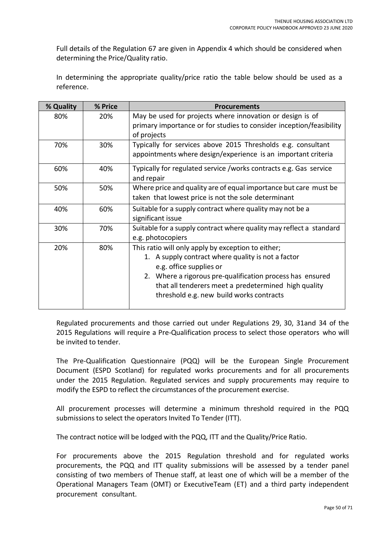Full details of the Regulation 67 are given in Appendix 4 which should be considered when determining the Price/Quality ratio.

In determining the appropriate quality/price ratio the table below should be used as a reference.

| % Quality | % Price | <b>Procurements</b>                                                                                                                                                                                                                                                                                  |
|-----------|---------|------------------------------------------------------------------------------------------------------------------------------------------------------------------------------------------------------------------------------------------------------------------------------------------------------|
| 80%       | 20%     | May be used for projects where innovation or design is of<br>primary importance or for studies to consider inception/feasibility<br>of projects                                                                                                                                                      |
| 70%       | 30%     | Typically for services above 2015 Thresholds e.g. consultant<br>appointments where design/experience is an important criteria                                                                                                                                                                        |
| 60%       | 40%     | Typically for regulated service /works contracts e.g. Gas service<br>and repair                                                                                                                                                                                                                      |
| 50%       | 50%     | Where price and quality are of equal importance but care must be<br>taken that lowest price is not the sole determinant                                                                                                                                                                              |
| 40%       | 60%     | Suitable for a supply contract where quality may not be a<br>significant issue                                                                                                                                                                                                                       |
| 30%       | 70%     | Suitable for a supply contract where quality may reflect a standard<br>e.g. photocopiers                                                                                                                                                                                                             |
| 20%       | 80%     | This ratio will only apply by exception to either;<br>1. A supply contract where quality is not a factor<br>e.g. office supplies or<br>2. Where a rigorous pre-qualification process has ensured<br>that all tenderers meet a predetermined high quality<br>threshold e.g. new build works contracts |

Regulated procurements and those carried out under Regulations 29, 30, 31and 34 of the 2015 Regulations will require a Pre-Qualification process to select those operators who will be invited to tender.

The Pre-Qualification Questionnaire (PQQ) will be the European Single Procurement Document (ESPD Scotland) for regulated works procurements and for all procurements under the 2015 Regulation. Regulated services and supply procurements may require to modify the ESPD to reflect the circumstances of the procurement exercise.

All procurement processes will determine a minimum threshold required in the PQQ submissions to select the operators Invited To Tender (ITT).

The contract notice will be lodged with the PQQ, ITT and the Quality/Price Ratio.

For procurements above the 2015 Regulation threshold and for regulated works procurements, the PQQ and ITT quality submissions will be assessed by a tender panel consisting of two members of Thenue staff, at least one of which will be a member of the Operational Managers Team (OMT) or ExecutiveTeam (ET) and a third party independent procurement consultant.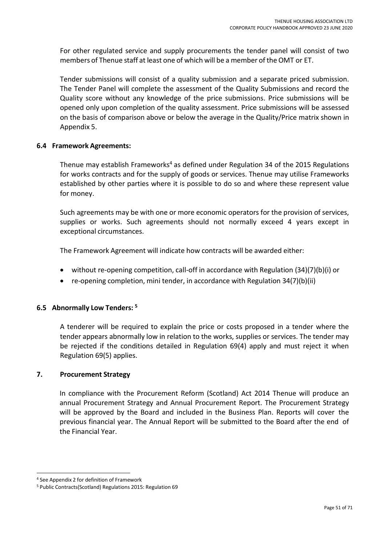For other regulated service and supply procurements the tender panel will consist of two members of Thenue staff at least one of which will be a member of the OMT or ET.

Tender submissions will consist of a quality submission and a separate priced submission. The Tender Panel will complete the assessment of the Quality Submissions and record the Quality score without any knowledge of the price submissions. Price submissions will be opened only upon completion of the quality assessment. Price submissions will be assessed on the basis of comparison above or below the average in the Quality/Price matrix shown in Appendix 5.

### **6.4 Framework Agreements:**

Thenue may establish Frameworks<sup>4</sup> as defined under Regulation 34 of the 2015 Regulations for works contracts and for the supply of goods or services. Thenue may utilise Frameworks established by other parties where it is possible to do so and where these represent value for money.

Such agreements may be with one or more economic operators for the provision of services, supplies or works. Such agreements should not normally exceed 4 years except in exceptional circumstances.

The Framework Agreement will indicate how contracts will be awarded either:

- without re-opening competition, call-off in accordance with Regulation (34)(7)(b)(i) or
- re-opening completion, mini tender, in accordance with Regulation 34(7)(b)(ii)

### **6.5 Abnormally Low Tenders: <sup>5</sup>**

A tenderer will be required to explain the price or costs proposed in a tender where the tender appears abnormally low in relation to the works, supplies or services. The tender may be rejected if the conditions detailed in Regulation 69(4) apply and must reject it when Regulation 69(5) applies.

### **7. Procurement Strategy**

In compliance with the Procurement Reform (Scotland) Act 2014 Thenue will produce an annual Procurement Strategy and Annual Procurement Report. The Procurement Strategy will be approved by the Board and included in the Business Plan. Reports will cover the previous financial year. The Annual Report will be submitted to the Board after the end of the Financial Year.

<sup>4</sup> See Appendix 2 for definition of Framework

<sup>5</sup> Public Contracts(Scotland) Regulations 2015: Regulation 69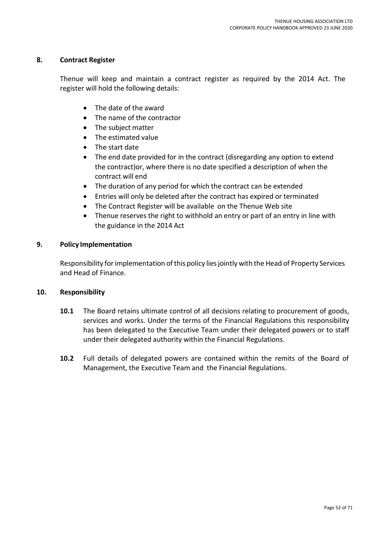### **8. Contract Register**

Thenue will keep and maintain a contract register as required by the 2014 Act. The register will hold the following details:

- The date of the award
- The name of the contractor
- The subject matter
- The estimated value
- The start date
- The end date provided for in the contract (disregarding any option to extend the contract)or, where there is no date specified a description of when the contract will end
- The duration of any period for which the contract can be extended
- Entries will only be deleted after the contract has expired or terminated
- The Contract Register will be available on the Thenue Web site
- Thenue reserves the right to withhold an entry or part of an entry in line with the guidance in the 2014 Act

### **9. Policy Implementation**

Responsibility for implementation of this policy lies jointly with the Head of Property Services and Head of Finance.

#### **10. Responsibility**

- **10.1** The Board retains ultimate control of all decisions relating to procurement of goods, services and works. Under the terms of the Financial Regulations this responsibility has been delegated to the Executive Team under their delegated powers or to staff under their delegated authority within the Financial Regulations.
- **10.2** Full details of delegated powers are contained within the remits of the Board of Management, the Executive Team and the Financial Regulations.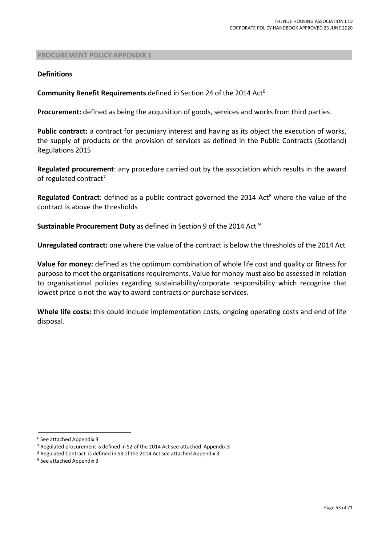#### **Definitions**

**Community Benefit Requirements** defined in Section 24 of the 2014 Act<sup>6</sup>

**Procurement:** defined as being the acquisition of goods, services and works from third parties.

**Public contract:** a contract for pecuniary interest and having as its object the execution of works, the supply of products or the provision of services as defined in the Public Contracts (Scotland) Regulations 2015

**Regulated procurement**: any procedure carried out by the association which results in the award of regulated contract<sup>7</sup>

**Regulated Contract**: defined as a public contract governed the 2014 Act<sup>8</sup> where the value of the contract is above the thresholds

**Sustainable Procurement Duty** as defined in Section 9 of the 2014 Act <sup>9</sup>

**Unregulated contract:** one where the value of the contract is below the thresholds of the 2014 Act

**Value for money:** defined as the optimum combination of whole life cost and quality or fitness for purpose to meet the organisations requirements. Value for money must also be assessed in relation to organisational policies regarding sustainability/corporate responsibility which recognise that lowest price is not the way to award contracts or purchase services.

**Whole life costs:** this could include implementation costs, ongoing operating costs and end of life disposal.

<sup>6</sup> See attached Appendix 3

<sup>7</sup> Regulated procurement is defined in S2 of the 2014 Act see attached Appendix 3

<sup>8</sup> Regulated Contract is defined in S3 of the 2014 Act see attached Appendix 3

<sup>9</sup> See attached Appendix 3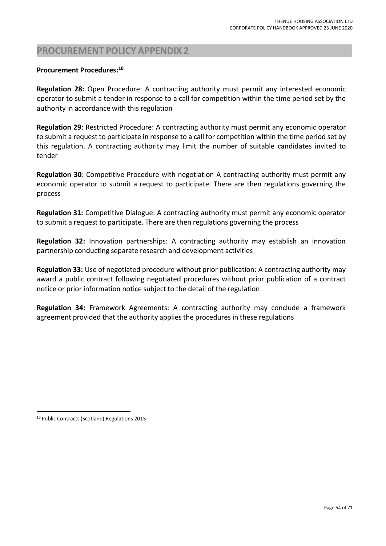### **Procurement Procedures:<sup>10</sup>**

**Regulation 28:** Open Procedure: A contracting authority must permit any interested economic operator to submit a tender in response to a call for competition within the time period set by the authority in accordance with this regulation

**Regulation 29**: Restricted Procedure: A contracting authority must permit any economic operator to submit a request to participate in response to a call for competition within the time period set by this regulation. A contracting authority may limit the number of suitable candidates invited to tender

**Regulation 30**: Competitive Procedure with negotiation A contracting authority must permit any economic operator to submit a request to participate. There are then regulations governing the process

**Regulation 31:** Competitive Dialogue: A contracting authority must permit any economic operator to submit a request to participate. There are then regulations governing the process

**Regulation 32:** Innovation partnerships: A contracting authority may establish an innovation partnership conducting separate research and development activities

**Regulation 33:** Use of negotiated procedure without prior publication: A contracting authority may award a public contract following negotiated procedures without prior publication of a contract notice or prior information notice subject to the detail of the regulation

**Regulation 34:** Framework Agreements: A contracting authority may conclude a framework agreement provided that the authority applies the procedures in these regulations

<sup>10</sup> Public Contracts(Scotland) Regulations 2015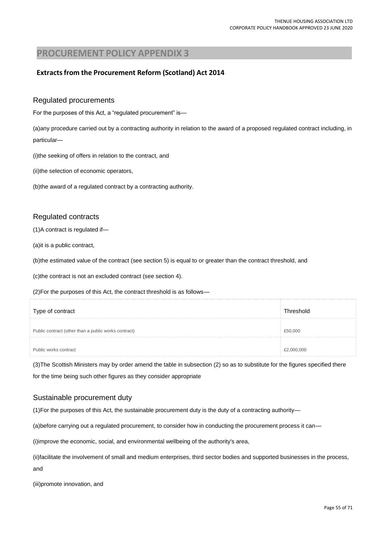### **Extractsfrom the Procurement Reform (Scotland) Act 2014**

#### Regulated procurements

For the purposes of this Act, a "regulated procurement" is—

(a)any procedure carried out by a contracting authority in relation to the award of a proposed regulated contract including, in particular—

(i)the seeking of offers in relation to the contract, and

(ii)the selection of economic operators,

(b)the award of a regulated contract by a contracting authority.

#### Regulated contracts

(1)A contract is regulated if—

(a)it is a public contract,

(b)the estimated value of the contract (see section 5) is equal to or greater than the contract threshold, and

(c)the contract is not an excluded contract (see section 4).

(2)For the purposes of this Act, the contract threshold is as follows—

| Type of contract                                     | I hreshold |
|------------------------------------------------------|------------|
| Public contract (other than a public works contract) |            |
| Public works contract                                |            |

(3)The Scottish Ministers may by order amend the table in subsection (2) so as to substitute for the figures specified there for the time being such other figures as they consider appropriate

#### Sustainable procurement duty

(1)For the purposes of this Act, the sustainable procurement duty is the duty of a contracting authority—

(a)before carrying out a regulated procurement, to consider how in conducting the procurement process it can—

(i)improve the economic, social, and environmental wellbeing of the authority's area,

(ii)facilitate the involvement of small and medium enterprises, third sector bodies and supported businesses in the process, and

(iii)promote innovation, and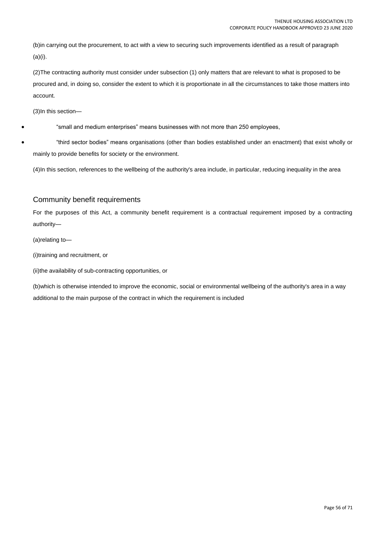(b)in carrying out the procurement, to act with a view to securing such improvements identified as a result of paragraph (a)(i).

(2)The contracting authority must consider under subsection (1) only matters that are relevant to what is proposed to be procured and, in doing so, consider the extent to which it is proportionate in all the circumstances to take those matters into account.

(3)In this section—

"small and medium enterprises" means businesses with not more than 250 employees,

 "third sector bodies" means organisations (other than bodies established under an enactment) that exist wholly or mainly to provide benefits for society or the environment.

(4)In this section, references to the wellbeing of the authority's area include, in particular, reducing inequality in the area

#### Community benefit requirements

For the purposes of this Act, a community benefit requirement is a contractual requirement imposed by a contracting authority—

(a)relating to—

(i)training and recruitment, or

(ii)the availability of sub-contracting opportunities, or

(b)which is otherwise intended to improve the economic, social or environmental wellbeing of the authority's area in a way additional to the main purpose of the contract in which the requirement is included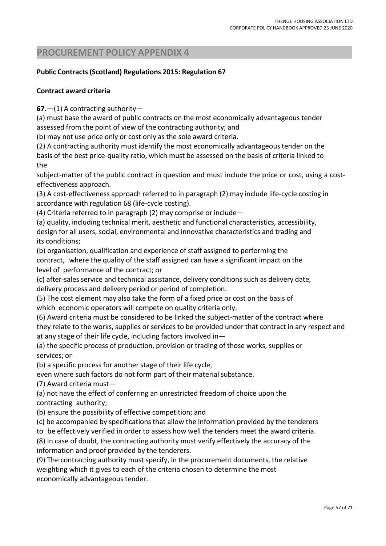### **Public Contracts(Scotland) Regulations 2015: Regulation 67**

### **Contract award criteria**

**67.**—(1) A contracting authority—

(a) must base the award of public contracts on the most economically advantageous tender assessed from the point of view of the contracting authority; and

(b) may not use price only or cost only as the sole award criteria.

(2) A contracting authority must identify the most economically advantageoustender on the basis of the best price-quality ratio, which must be assessed on the basis of criteria linked to the

subject-matter of the public contract in question and must include the price or cost, using a costeffectiveness approach.

(3) A cost-effectiveness approach referred to in paragraph (2) may include life-cycle costing in accordance with regulation 68 (life-cycle costing).

(4) Criteria referred to in paragraph (2) may comprise or include—

(a) quality, including technical merit, aesthetic and functional characteristics, accessibility, design for all users, social, environmental and innovative characteristics and trading and its conditions;

(b) organisation, qualification and experience of staff assigned to performing the contract, where the quality of the staff assigned can have a significant impact on the level of performance of the contract; or

(c) after-sales service and technical assistance, delivery conditions such as delivery date, delivery process and delivery period or period of completion.

(5) The cost element may also take the form of a fixed price or cost on the basis of which economic operators will compete on quality criteria only.

(6) Award criteria must be considered to be linked the subject-matter of the contract where they relate to the works, supplies or services to be provided under that contract in any respect and at any stage of their life cycle, including factors involved in—

(a) the specific process of production, provision or trading of those works, supplies or services; or

(b) a specific process for another stage of their life cycle,

even where such factors do not form part of their material substance.

(7) Award criteria must—

(a) not have the effect of conferring an unrestricted freedom of choice upon the contracting authority;

(b) ensure the possibility of effective competition; and

(c) be accompanied by specifications that allow the information provided by the tenderers

to be effectively verified in order to assess how well the tenders meet the award criteria.

(8) In case of doubt, the contracting authority must verify effectively the accuracy of the information and proof provided by the tenderers.

(9) The contracting authority must specify, in the procurement documents, the relative weighting which it gives to each of the criteria chosen to determine the most economically advantageous tender.